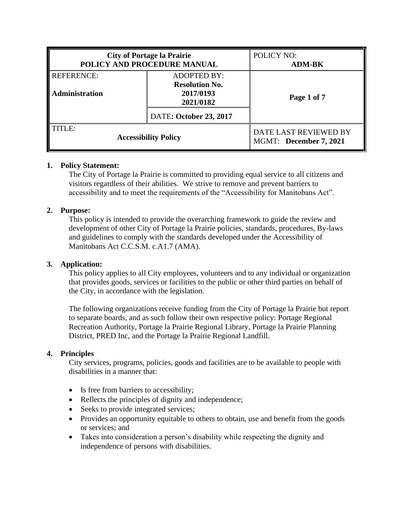| <b>City of Portage la Prairie</b>          |                                                                       | POLICY NO:             |
|--------------------------------------------|-----------------------------------------------------------------------|------------------------|
| POLICY AND PROCEDURE MANUAL                |                                                                       | <b>ADM-BK</b>          |
| <b>REFERENCE:</b><br><b>Administration</b> | <b>ADOPTED BY:</b><br><b>Resolution No.</b><br>2017/0193<br>2021/0182 | Page 1 of 7            |
|                                            | <b>DATE: October 23, 2017</b>                                         |                        |
| TITLE:                                     |                                                                       | DATE LAST REVIEWED BY  |
| <b>Accessibility Policy</b>                |                                                                       | MGMT: December 7, 2021 |

# **1. Policy Statement:**

The City of Portage la Prairie is committed to providing equal service to all citizens and visitors regardless of their abilities. We strive to remove and prevent barriers to accessibility and to meet the requirements of the "Accessibility for Manitobans Act".

## **2. Purpose:**

This policy is intended to provide the overarching framework to guide the review and development of other City of Portage la Prairie policies, standards, procedures, By-laws and guidelines to comply with the standards developed under the Accessibility of Manitobans Act C.C.S.M. c.A1.7 (AMA).

#### **3. Application:**

This policy applies to all City employees, volunteers and to any individual or organization that provides goods, services or facilities to the public or other third parties on behalf of the City, in accordance with the legislation.

The following organizations receive funding from the City of Portage la Prairie but report to separate boards, and as such follow their own respective policy: Portage Regional Recreation Authority, Portage la Prairie Regional Library, Portage la Prairie Planning District, PRED Inc, and the Portage la Prairie Regional Landfill.

# **4. Principles**

City services, programs, policies, goods and facilities are to be available to people with disabilities in a manner that:

- Is free from barriers to accessibility;
- Reflects the principles of dignity and independence;
- Seeks to provide integrated services;
- Provides an opportunity equitable to others to obtain, use and benefit from the goods or services; and
- Takes into consideration a person's disability while respecting the dignity and independence of persons with disabilities.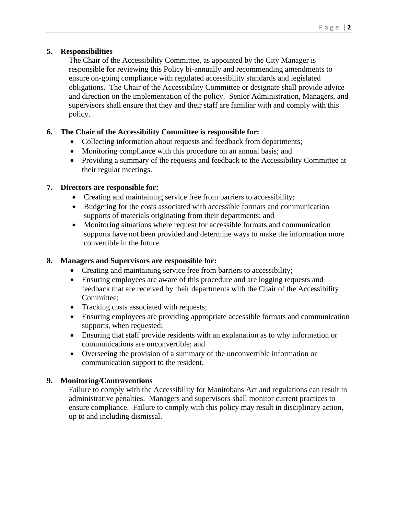# **5. Responsibilities**

The Chair of the Accessibility Committee, as appointed by the City Manager is responsible for reviewing this Policy bi-annually and recommending amendments to ensure on-going compliance with regulated accessibility standards and legislated obligations. The Chair of the Accessibility Committee or designate shall provide advice and direction on the implementation of the policy. Senior Administration, Managers, and supervisors shall ensure that they and their staff are familiar with and comply with this policy.

# **6. The Chair of the Accessibility Committee is responsible for:**

- Collecting information about requests and feedback from departments;
- Monitoring compliance with this procedure on an annual basis; and
- Providing a summary of the requests and feedback to the Accessibility Committee at their regular meetings.

# **7. Directors are responsible for:**

- Creating and maintaining service free from barriers to accessibility;
- Budgeting for the costs associated with accessible formats and communication supports of materials originating from their departments; and
- Monitoring situations where request for accessible formats and communication supports have not been provided and determine ways to make the information more convertible in the future.

# **8. Managers and Supervisors are responsible for:**

- Creating and maintaining service free from barriers to accessibility;
- Ensuring employees are aware of this procedure and are logging requests and feedback that are received by their departments with the Chair of the Accessibility Committee;
- Tracking costs associated with requests;
- Ensuring employees are providing appropriate accessible formats and communication supports, when requested;
- Ensuring that staff provide residents with an explanation as to why information or communications are unconvertible; and
- Overseeing the provision of a summary of the unconvertible information or communication support to the resident.

# **9. Monitoring/Contraventions**

Failure to comply with the Accessibility for Manitobans Act and regulations can result in administrative penalties. Managers and supervisors shall monitor current practices to ensure compliance. Failure to comply with this policy may result in disciplinary action, up to and including dismissal.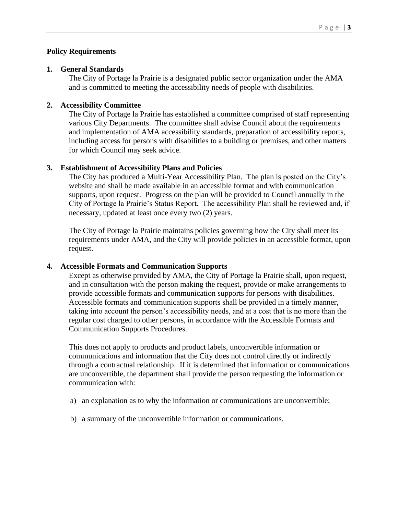## **Policy Requirements**

#### **1. General Standards**

The City of Portage la Prairie is a designated public sector organization under the AMA and is committed to meeting the accessibility needs of people with disabilities.

#### **2. Accessibility Committee**

The City of Portage la Prairie has established a committee comprised of staff representing various City Departments. The committee shall advise Council about the requirements and implementation of AMA accessibility standards, preparation of accessibility reports, including access for persons with disabilities to a building or premises, and other matters for which Council may seek advice.

## **3. Establishment of Accessibility Plans and Policies**

The City has produced a Multi-Year Accessibility Plan. The plan is posted on the City's website and shall be made available in an accessible format and with communication supports, upon request. Progress on the plan will be provided to Council annually in the City of Portage la Prairie's Status Report. The accessibility Plan shall be reviewed and, if necessary, updated at least once every two (2) years.

The City of Portage la Prairie maintains policies governing how the City shall meet its requirements under AMA, and the City will provide policies in an accessible format, upon request.

#### **4. Accessible Formats and Communication Supports**

Except as otherwise provided by AMA, the City of Portage la Prairie shall, upon request, and in consultation with the person making the request, provide or make arrangements to provide accessible formats and communication supports for persons with disabilities. Accessible formats and communication supports shall be provided in a timely manner, taking into account the person's accessibility needs, and at a cost that is no more than the regular cost charged to other persons, in accordance with the Accessible Formats and Communication Supports Procedures.

This does not apply to products and product labels, unconvertible information or communications and information that the City does not control directly or indirectly through a contractual relationship. If it is determined that information or communications are unconvertible, the department shall provide the person requesting the information or communication with:

- a) an explanation as to why the information or communications are unconvertible;
- b) a summary of the unconvertible information or communications.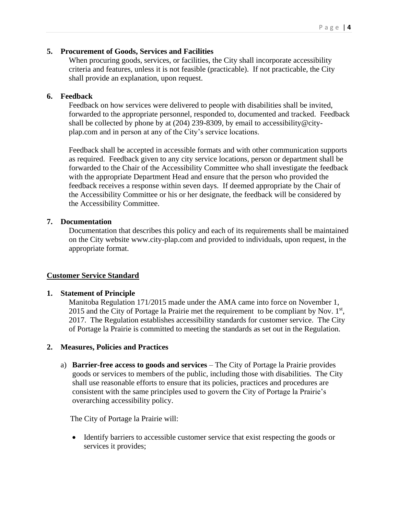#### **5. Procurement of Goods, Services and Facilities**

When procuring goods, services, or facilities, the City shall incorporate accessibility criteria and features, unless it is not feasible (practicable). If not practicable, the City shall provide an explanation, upon request.

#### **6. Feedback**

Feedback on how services were delivered to people with disabilities shall be invited, forwarded to the appropriate personnel, responded to, documented and tracked. Feedback shall be collected by phone by at (204) 239-8309, by email to accessibility@cityplap.com and in person at any of the City's service locations.

Feedback shall be accepted in accessible formats and with other communication supports as required. Feedback given to any city service locations, person or department shall be forwarded to the Chair of the Accessibility Committee who shall investigate the feedback with the appropriate Department Head and ensure that the person who provided the feedback receives a response within seven days. If deemed appropriate by the Chair of the Accessibility Committee or his or her designate, the feedback will be considered by the Accessibility Committee.

#### **7. Documentation**

Documentation that describes this policy and each of its requirements shall be maintained on the City website www.city-plap.com and provided to individuals, upon request, in the appropriate format.

#### **Customer Service Standard**

#### **1. Statement of Principle**

Manitoba Regulation 171/2015 made under the AMA came into force on November 1, 2015 and the City of Portage la Prairie met the requirement to be compliant by Nov.  $1<sup>st</sup>$ , 2017. The Regulation establishes accessibility standards for customer service. The City of Portage la Prairie is committed to meeting the standards as set out in the Regulation.

#### **2. Measures, Policies and Practices**

a) **Barrier-free access to goods and services** – The City of Portage la Prairie provides goods or services to members of the public, including those with disabilities. The City shall use reasonable efforts to ensure that its policies, practices and procedures are consistent with the same principles used to govern the City of Portage la Prairie's overarching accessibility policy.

The City of Portage la Prairie will:

• Identify barriers to accessible customer service that exist respecting the goods or services it provides;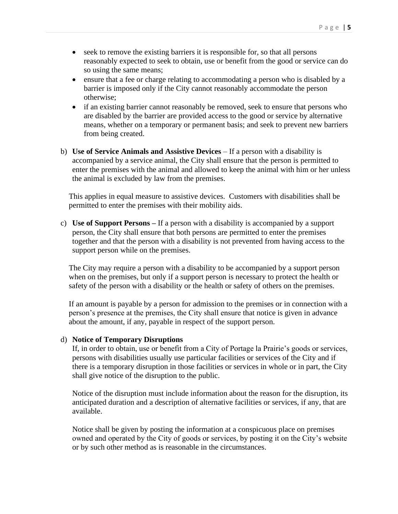- seek to remove the existing barriers it is responsible for, so that all persons reasonably expected to seek to obtain, use or benefit from the good or service can do so using the same means;
- ensure that a fee or charge relating to accommodating a person who is disabled by a barrier is imposed only if the City cannot reasonably accommodate the person otherwise;
- if an existing barrier cannot reasonably be removed, seek to ensure that persons who are disabled by the barrier are provided access to the good or service by alternative means, whether on a temporary or permanent basis; and seek to prevent new barriers from being created.
- b) **Use of Service Animals and Assistive Devices** If a person with a disability is accompanied by a service animal, the City shall ensure that the person is permitted to enter the premises with the animal and allowed to keep the animal with him or her unless the animal is excluded by law from the premises.

This applies in equal measure to assistive devices. Customers with disabilities shall be permitted to enter the premises with their mobility aids.

c) **Use of Support Persons –** If a person with a disability is accompanied by a support person, the City shall ensure that both persons are permitted to enter the premises together and that the person with a disability is not prevented from having access to the support person while on the premises.

The City may require a person with a disability to be accompanied by a support person when on the premises, but only if a support person is necessary to protect the health or safety of the person with a disability or the health or safety of others on the premises.

If an amount is payable by a person for admission to the premises or in connection with a person's presence at the premises, the City shall ensure that notice is given in advance about the amount, if any, payable in respect of the support person.

#### d) **Notice of Temporary Disruptions**

If, in order to obtain, use or benefit from a City of Portage la Prairie's goods or services, persons with disabilities usually use particular facilities or services of the City and if there is a temporary disruption in those facilities or services in whole or in part, the City shall give notice of the disruption to the public.

Notice of the disruption must include information about the reason for the disruption, its anticipated duration and a description of alternative facilities or services, if any, that are available.

Notice shall be given by posting the information at a conspicuous place on premises owned and operated by the City of goods or services, by posting it on the City's website or by such other method as is reasonable in the circumstances.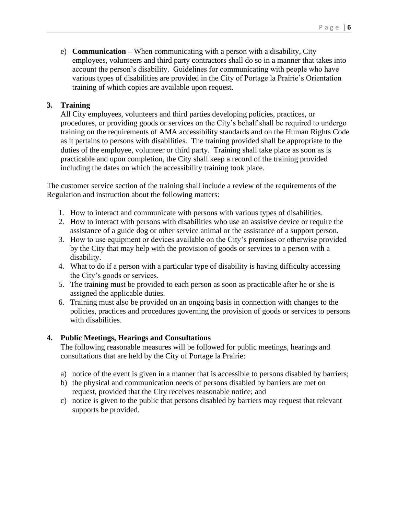e) **Communication –** When communicating with a person with a disability, City employees, volunteers and third party contractors shall do so in a manner that takes into account the person's disability. Guidelines for communicating with people who have various types of disabilities are provided in the City of Portage la Prairie's Orientation training of which copies are available upon request.

## **3. Training**

All City employees, volunteers and third parties developing policies, practices, or procedures, or providing goods or services on the City's behalf shall be required to undergo training on the requirements of AMA accessibility standards and on the Human Rights Code as it pertains to persons with disabilities. The training provided shall be appropriate to the duties of the employee, volunteer or third party. Training shall take place as soon as is practicable and upon completion, the City shall keep a record of the training provided including the dates on which the accessibility training took place.

The customer service section of the training shall include a review of the requirements of the Regulation and instruction about the following matters:

- 1. How to interact and communicate with persons with various types of disabilities.
- 2. How to interact with persons with disabilities who use an assistive device or require the assistance of a guide dog or other service animal or the assistance of a support person.
- 3. How to use equipment or devices available on the City's premises or otherwise provided by the City that may help with the provision of goods or services to a person with a disability.
- 4. What to do if a person with a particular type of disability is having difficulty accessing the City's goods or services.
- 5. The training must be provided to each person as soon as practicable after he or she is assigned the applicable duties.
- 6. Training must also be provided on an ongoing basis in connection with changes to the policies, practices and procedures governing the provision of goods or services to persons with disabilities.

#### **4. Public Meetings, Hearings and Consultations**

The following reasonable measures will be followed for public meetings, hearings and consultations that are held by the City of Portage la Prairie:

- a) notice of the event is given in a manner that is accessible to persons disabled by barriers;
- b) the physical and communication needs of persons disabled by barriers are met on request, provided that the City receives reasonable notice; and
- c) notice is given to the public that persons disabled by barriers may request that relevant supports be provided.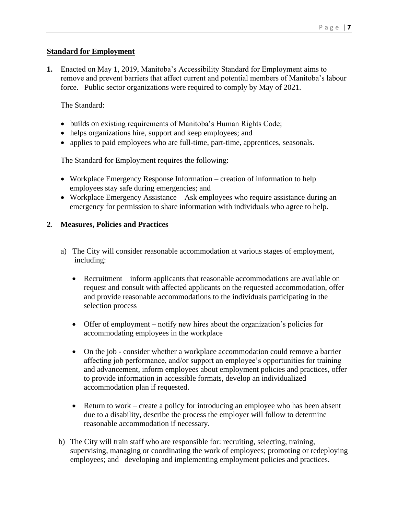## **Standard for Employment**

**1.** Enacted on May 1, 2019, Manitoba's Accessibility Standard for Employment aims to remove and prevent barriers that affect current and potential members of Manitoba's labour force. Public sector organizations were required to comply by May of 2021.

## The Standard:

- builds on existing requirements of Manitoba's Human Rights Code;
- helps organizations hire, support and keep employees; and
- applies to paid employees who are full-time, part-time, apprentices, seasonals.

The Standard for Employment requires the following:

- Workplace Emergency Response Information creation of information to help employees stay safe during emergencies; and
- Workplace Emergency Assistance Ask employees who require assistance during an emergency for permission to share information with individuals who agree to help.

#### **2**. **Measures, Policies and Practices**

- a) The City will consider reasonable accommodation at various stages of employment, including:
	- Recruitment inform applicants that reasonable accommodations are available on request and consult with affected applicants on the requested accommodation, offer and provide reasonable accommodations to the individuals participating in the selection process
	- Offer of employment notify new hires about the organization's policies for accommodating employees in the workplace
	- On the job consider whether a workplace accommodation could remove a barrier affecting job performance, and/or support an employee's opportunities for training and advancement, inform employees about employment policies and practices, offer to provide information in accessible formats, develop an individualized accommodation plan if requested.
	- Return to work create a policy for introducing an employee who has been absent due to a disability, describe the process the employer will follow to determine reasonable accommodation if necessary.
- b) The City will train staff who are responsible for: recruiting, selecting, training, supervising, managing or coordinating the work of employees; promoting or redeploying employees; and developing and implementing employment policies and practices.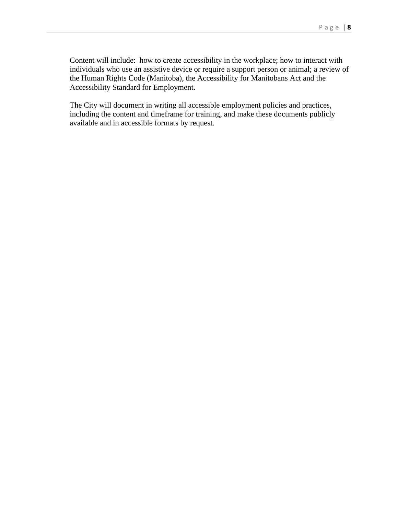Content will include: how to create accessibility in the workplace; how to interact with individuals who use an assistive device or require a support person or animal; a review of the Human Rights Code (Manitoba), the Accessibility for Manitobans Act and the Accessibility Standard for Employment.

The City will document in writing all accessible employment policies and practices, including the content and timeframe for training, and make these documents publicly available and in accessible formats by request.